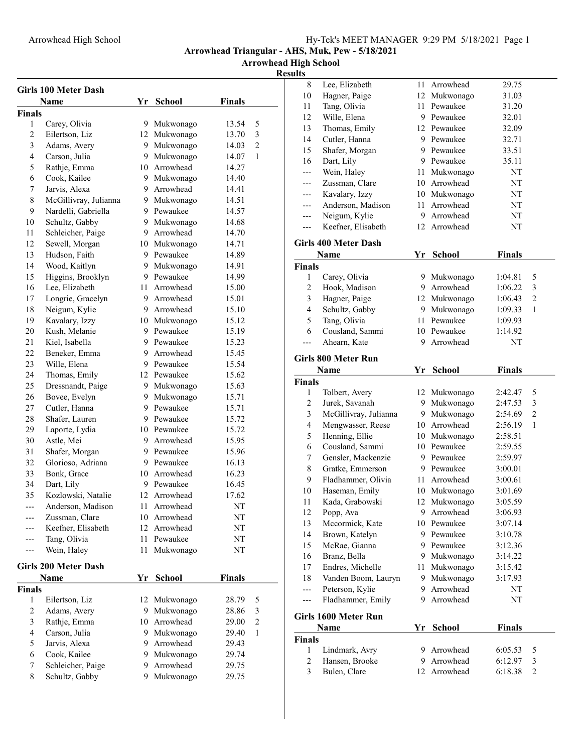Arrowhead High School

|                    | <b>Girls 100 Meter Dash</b>    |    |                             |                |                |
|--------------------|--------------------------------|----|-----------------------------|----------------|----------------|
|                    | Name                           | Yr | <b>School</b>               | <b>Finals</b>  |                |
| <b>Finals</b>      |                                |    |                             |                |                |
| 1                  | Carey, Olivia                  |    | 9 Mukwonago                 | 13.54          | 5              |
| $\overline{2}$     | Eilertson, Liz                 |    | 12 Mukwonago                | 13.70          | 3              |
| 3                  | Adams, Avery                   |    | 9 Mukwonago                 | 14.03          | 2              |
| 4                  | Carson, Julia                  |    | 9 Mukwonago                 | 14.07          | 1              |
| 5                  | Rathje, Emma                   |    | 10 Arrowhead                | 14.27          |                |
| 6                  | Cook, Kailee                   |    | 9 Mukwonago                 | 14.40          |                |
| 7                  | Jarvis, Alexa                  | 9. | Arrowhead                   | 14.41          |                |
| 8                  | McGillivray, Julianna          |    | 9 Mukwonago                 | 14.51          |                |
| 9                  | Nardelli, Gabriella            |    | 9 Pewaukee                  | 14.57          |                |
| 10                 | Schultz, Gabby                 |    | 9 Mukwonago                 | 14.68          |                |
| 11                 | Schleicher, Paige              |    | 9 Arrowhead                 | 14.70          |                |
| 12                 | Sewell, Morgan                 |    | 10 Mukwonago                | 14.71          |                |
| 13                 | Hudson, Faith                  |    | 9 Pewaukee                  | 14.89          |                |
| 14                 | Wood, Kaitlyn                  |    | 9 Mukwonago                 | 14.91          |                |
| 15                 | Higgins, Brooklyn              |    | 9 Pewaukee                  | 14.99          |                |
| 16                 | Lee, Elizabeth                 |    | 11 Arrowhead                | 15.00          |                |
| 17                 | Longrie, Gracelyn              |    | 9 Arrowhead                 | 15.01          |                |
| 18                 | Neigum, Kylie                  |    | 9 Arrowhead                 | 15.10          |                |
| 19                 | Kavalary, Izzy                 |    | 10 Mukwonago                | 15.12          |                |
| 20                 | Kush, Melanie                  |    | 9 Pewaukee                  | 15.19          |                |
| 21                 | Kiel, Isabella                 |    | 9 Pewaukee                  | 15.23          |                |
| 22                 | Beneker, Emma                  |    | 9 Arrowhead                 | 15.45          |                |
| 23                 | Wille, Elena                   |    | 9 Pewaukee                  | 15.54          |                |
| 24                 | Thomas, Emily                  |    | 12 Pewaukee                 | 15.62          |                |
| 25                 | Dressnandt, Paige              |    | 9 Mukwonago                 | 15.63          |                |
| 26                 | Bovee, Evelyn                  |    | 9 Mukwonago                 | 15.71          |                |
| 27                 | Cutler, Hanna                  |    | 9 Pewaukee                  | 15.71          |                |
| 28                 | Shafer, Lauren                 |    | 9 Pewaukee                  | 15.72          |                |
| 29                 | Laporte, Lydia                 |    | 10 Pewaukee                 | 15.72          |                |
| 30                 | Astle, Mei                     |    | 9 Arrowhead                 | 15.95          |                |
| 31                 | Shafer, Morgan                 |    | 9 Pewaukee                  | 15.96          |                |
| 32                 | Glorioso, Adriana              |    | 9 Pewaukee                  | 16.13          |                |
| 33                 | Bonk, Grace                    |    | 10 Arrowhead                | 16.23          |                |
| 34                 | Dart, Lily                     |    | 9 Pewaukee                  | 16.45          |                |
| 35                 | Kozlowski, Natalie             |    | 12 Arrowhead                | 17.62          |                |
|                    | Anderson, Madison              |    | 11 Arrowhead                | NT             |                |
|                    | Zussman, Clare                 |    | 10 Arrowhead                | NΤ             |                |
|                    | Keefner, Elisabeth             |    | 12 Arrowhead                | NT             |                |
|                    | Tang, Olivia                   | 11 | Pewaukee                    | NT             |                |
| ---                | Wein, Haley                    | 11 | Mukwonago                   | NT             |                |
|                    |                                |    |                             |                |                |
|                    | <b>Girls 200 Meter Dash</b>    |    |                             |                |                |
|                    | Name                           | Yr | School                      | <b>Finals</b>  |                |
| <b>Finals</b><br>1 |                                |    |                             |                |                |
| $\overline{2}$     | Eilertson, Liz                 |    | 12 Mukwonago                | 28.79<br>28.86 | 5<br>3         |
| 3                  | Adams, Avery                   |    | 9 Mukwonago<br>10 Arrowhead | 29.00          | $\overline{2}$ |
| $\overline{4}$     | Rathje, Emma                   |    |                             |                | 1              |
| 5                  | Carson, Julia<br>Jarvis, Alexa | 9. | 9 Mukwonago<br>Arrowhead    | 29.40<br>29.43 |                |
| 6                  |                                |    |                             |                |                |
|                    | Cook, Kailee                   |    | 9 Mukwonago                 | 29.74          |                |
| 7<br>8             | Schleicher, Paige              | 9. | Arrowhead                   | 29.75          |                |
|                    | Schultz, Gabby                 | 9  | Mukwonago                   | 29.75          |                |

| 8                       | Lee, Elizabeth                 | 11       | Arrowhead                   | 29.75              |                     |
|-------------------------|--------------------------------|----------|-----------------------------|--------------------|---------------------|
| 10                      | Hagner, Paige                  |          | 12 Mukwonago                | 31.03              |                     |
| 11                      | Tang, Olivia                   |          | 11 Pewaukee                 | 31.20              |                     |
| 12                      | Wille, Elena                   |          | 9 Pewaukee                  | 32.01              |                     |
| 13                      | Thomas, Emily                  |          | 12 Pewaukee                 | 32.09              |                     |
| 14                      | Cutler, Hanna                  |          | 9 Pewaukee                  | 32.71              |                     |
| 15                      | Shafer, Morgan                 |          | 9 Pewaukee                  | 33.51              |                     |
| 16                      | Dart, Lily                     |          | 9 Pewaukee                  | 35.11              |                     |
| ---                     | Wein, Haley                    |          | 11 Mukwonago                | NT                 |                     |
| ---                     | Zussman, Clare                 |          | 10 Arrowhead                | NT                 |                     |
| ---                     | Kavalary, Izzy                 |          | 10 Mukwonago                | NT                 |                     |
| ---                     | Anderson, Madison              |          | 11 Arrowhead                | NT                 |                     |
| ---                     | Neigum, Kylie                  |          | 9 Arrowhead                 | NT                 |                     |
| ---                     | Keefner, Elisabeth             |          | 12 Arrowhead                | NT                 |                     |
|                         |                                |          |                             |                    |                     |
|                         | <b>Girls 400 Meter Dash</b>    |          |                             |                    |                     |
|                         | Name                           | Yr       | <b>School</b>               | <b>Finals</b>      |                     |
| <b>Finals</b>           |                                |          |                             |                    |                     |
| 1                       | Carey, Olivia                  |          | 9 Mukwonago                 | 1:04.81            | 5                   |
| $\overline{c}$          | Hook, Madison                  |          | 9 Arrowhead                 | 1:06.22            | 3                   |
| $\mathfrak{Z}$          | Hagner, Paige                  |          | 12 Mukwonago                | 1:06.43            | $\overline{c}$      |
| $\overline{\mathbf{4}}$ | Schultz, Gabby                 |          | 9 Mukwonago                 | 1:09.33            | 1                   |
| 5                       | Tang, Olivia                   |          | 11 Pewaukee                 | 1:09.93            |                     |
| 6                       | Cousland, Sammi                |          | 10 Pewaukee                 | 1:14.92            |                     |
| ---                     | Ahearn, Kate                   | 9        | Arrowhead                   | NT                 |                     |
|                         | <b>Girls 800 Meter Run</b>     |          |                             |                    |                     |
|                         | Name                           | Yr       | <b>School</b>               | <b>Finals</b>      |                     |
|                         |                                |          |                             |                    |                     |
|                         |                                |          |                             |                    |                     |
| <b>Finals</b><br>1      |                                |          |                             | 2:42.47            | 5                   |
|                         | Tolbert, Avery                 |          | 12 Mukwonago                |                    |                     |
| $\overline{c}$          | Jurek, Savanah                 |          | 9 Mukwonago                 | 2:47.53            | 3                   |
| $\mathfrak{Z}$          | McGillivray, Julianna          |          | 9 Mukwonago                 | 2:54.69            | $\overline{c}$<br>1 |
| $\overline{\mathbf{4}}$ | Mengwasser, Reese              |          | 10 Arrowhead                | 2:56.19            |                     |
| 5                       | Henning, Ellie                 |          | 10 Mukwonago<br>10 Pewaukee | 2:58.51            |                     |
| 6                       | Cousland, Sammi                |          |                             | 2:59.55            |                     |
| 7                       | Gensler, Mackenzie             |          | 9 Pewaukee<br>9 Pewaukee    | 2:59.97            |                     |
| 8                       | Gratke, Emmerson               |          |                             | 3:00.01            |                     |
| 9                       | Fladhammer, Olivia             |          | 11 Arrowhead                | 3:00.61            |                     |
| 10                      | Haseman, Emily                 |          | 10 Mukwonago                | 3:01.69            |                     |
| 11                      | Kada, Grabowski                | 9        | 12 Mukwonago<br>Arrowhead   | 3:05.59            |                     |
| 12                      | Popp, Ava                      |          | 10 Pewaukee                 | 3:06.93            |                     |
| 13                      | Mccormick, Kate                |          | 9 Pewaukee                  | 3:07.14            |                     |
| 14                      | Brown, Katelyn                 |          |                             | 3:10.78            |                     |
| 15                      | McRae, Gianna                  |          | 9 Pewaukee                  | 3:12.36            |                     |
| 16                      | Branz, Bella                   |          | 9 Mukwonago                 | 3:14.22            |                     |
| 17                      | Endres, Michelle               |          | 11 Mukwonago                | 3:15.42            |                     |
| 18                      | Vanden Boom, Lauryn            | 9.       | Mukwonago                   | 3:17.93            |                     |
| ---                     | Peterson, Kylie                |          | 9 Arrowhead                 | NT                 |                     |
| ---                     | Fladhammer, Emily              | 9.       | Arrowhead                   | NT                 |                     |
|                         | Girls 1600 Meter Run           |          |                             |                    |                     |
|                         | Name                           | Yr       | <b>School</b>               | Finals             |                     |
| Finals                  |                                |          |                             |                    |                     |
| 1                       | Lindmark, Avry                 | 9.       | Arrowhead                   | 6:05.53            | 5                   |
| 2<br>3                  | Hansen, Brooke<br>Bulen, Clare | 9.<br>12 | Arrowhead<br>Arrowhead      | 6:12.97<br>6:18.38 | 3<br>$\overline{c}$ |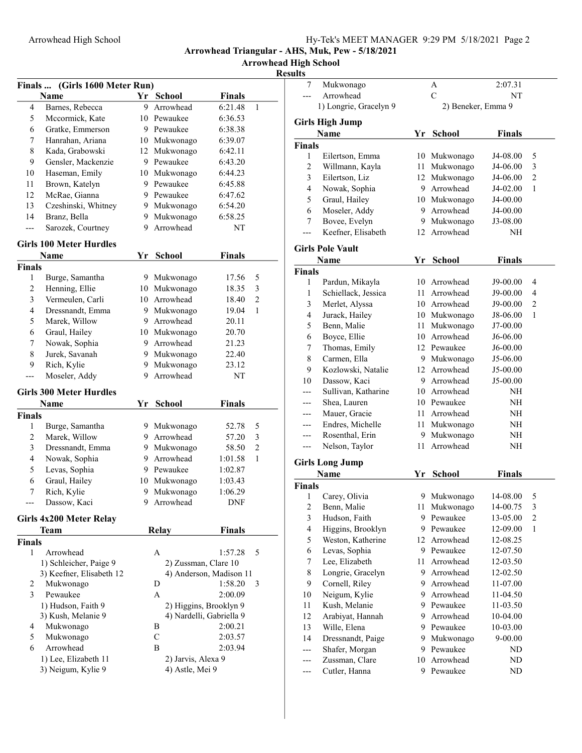Arrowhead High School

|                          | Finals  (Girls 1600 Meter Run) |    |                      |                          |                |
|--------------------------|--------------------------------|----|----------------------|--------------------------|----------------|
|                          | Name                           |    | Yr School            | <b>Finals</b>            |                |
| 4                        | Barnes, Rebecca                | 9  | Arrowhead            | 6:21.48                  | 1              |
| 5                        | Mccormick, Kate                |    | 10 Pewaukee          | 6:36.53                  |                |
| 6                        | Gratke, Emmerson               |    | 9 Pewaukee           | 6:38.38                  |                |
| 7                        | Hanrahan, Ariana               |    | 10 Mukwonago         | 6:39.07                  |                |
| 8                        | Kada, Grabowski                |    | 12 Mukwonago         | 6:42.11                  |                |
| 9                        | Gensler, Mackenzie             |    | 9 Pewaukee           | 6:43.20                  |                |
| 10                       | Haseman, Emily                 |    | 10 Mukwonago         | 6:44.23                  |                |
| 11                       | Brown, Katelyn                 |    | 9 Pewaukee           | 6:45.88                  |                |
| 12                       | McRae, Gianna                  |    | 9 Pewaukee           | 6:47.62                  |                |
| 13                       | Czeshinski, Whitney            |    | 9 Mukwonago          | 6:54.20                  |                |
| 14                       | Branz, Bella                   |    | 9 Mukwonago          | 6:58.25                  |                |
| ---                      | Sarozek, Courtney              | 9  | Arrowhead            | NΤ                       |                |
|                          |                                |    |                      |                          |                |
|                          | <b>Girls 100 Meter Hurdles</b> |    |                      |                          |                |
|                          | Name                           | Yr | School               | <b>Finals</b>            |                |
| <b>Finals</b>            |                                |    |                      |                          |                |
| 1                        | Burge, Samantha                |    | 9 Mukwonago          | 17.56                    | 5              |
| 2                        | Henning, Ellie                 |    | 10 Mukwonago         | 18.35                    | 3              |
| 3                        | Vermeulen, Carli               |    | 10 Arrowhead         | 18.40                    | $\mathfrak{2}$ |
| $\overline{\mathcal{L}}$ | Dressnandt, Emma               |    | 9 Mukwonago          | 19.04                    | 1              |
| 5                        | Marek, Willow                  |    | 9 Arrowhead          | 20.11                    |                |
| 6                        | Graul, Hailey                  |    | 10 Mukwonago         | 20.70                    |                |
| 7                        | Nowak, Sophia                  |    | 9 Arrowhead          | 21.23                    |                |
| 8                        | Jurek, Savanah                 |    | 9 Mukwonago          | 22.40                    |                |
| 9                        | Rich, Kylie                    | 9. | Mukwonago            | 23.12                    |                |
| ---                      | Moseler, Addy                  | 9  | Arrowhead            | NΤ                       |                |
|                          | <b>Girls 300 Meter Hurdles</b> |    |                      |                          |                |
|                          | Name                           | Yr | School               | <b>Finals</b>            |                |
| <b>Finals</b>            |                                |    |                      |                          |                |
| 1                        | Burge, Samantha                |    | 9 Mukwonago          | 52.78                    | 5              |
| 2                        | Marek, Willow                  |    | 9 Arrowhead          | 57.20                    | 3              |
| 3                        | Dressnandt, Emma               |    | 9 Mukwonago          | 58.50                    | $\mathfrak{2}$ |
| $\overline{\mathcal{L}}$ | Nowak, Sophia                  |    | 9 Arrowhead          | 1:01.58                  | 1              |
| 5                        | Levas, Sophia                  |    | 9 Pewaukee           | 1:02.87                  |                |
| 6                        | Graul, Hailey                  |    | 10 Mukwonago         | 1:03.43                  |                |
| 7                        | Rich, Kylie                    |    | 9 Mukwonago          | 1:06.29                  |                |
|                          | Dassow, Kaci                   |    | 9 Arrowhead          | DNF                      |                |
|                          |                                |    |                      |                          |                |
|                          | Girls 4x200 Meter Relay        |    |                      |                          |                |
|                          | Team                           |    | <b>Relay</b>         | <b>Finals</b>            |                |
| <b>Finals</b><br>1       | Arrowhead                      |    | A                    | 1:57.28                  | 5              |
|                          | 1) Schleicher, Paige 9         |    | 2) Zussman, Clare 10 |                          |                |
|                          | 3) Keefner, Elisabeth 12       |    |                      | 4) Anderson, Madison 11  |                |
| 2                        | Mukwonago                      |    | D                    | 1:58.20                  | 3              |
| 3                        | Pewaukee                       |    | A                    | 2:00.09                  |                |
|                          | 1) Hudson, Faith 9             |    |                      | 2) Higgins, Brooklyn 9   |                |
|                          | 3) Kush, Melanie 9             |    |                      | 4) Nardelli, Gabriella 9 |                |
| 4                        | Mukwonago                      |    | В                    | 2:00.21                  |                |
| 5                        | Mukwonago                      |    | $\mathbf C$          | 2:03.57                  |                |
| 6                        | Arrowhead                      |    | В                    | 2:03.94                  |                |
|                          | 1) Lee, Elizabeth 11           |    | 2) Jarvis, Alexa 9   |                          |                |
|                          | 3) Neigum, Kylie 9             |    | 4) Astle, Mei 9      |                          |                |
|                          |                                |    |                      |                          |                |

| 7                  | Mukwonago               |     | Α                  | 2:07.31       |                |
|--------------------|-------------------------|-----|--------------------|---------------|----------------|
|                    | Arrowhead               |     | $\mathbf C$        | NΤ            |                |
|                    | 1) Longrie, Gracelyn 9  |     | 2) Beneker, Emma 9 |               |                |
|                    | <b>Girls High Jump</b>  |     |                    |               |                |
|                    | <b>Name</b>             | Yr  | <b>School</b>      | <b>Finals</b> |                |
| <b>Finals</b>      |                         |     |                    |               |                |
| 1                  | Eilertson, Emma         |     | 10 Mukwonago       | J4-08.00      | 5              |
| $\overline{c}$     | Willmann, Kayla         |     | 11 Mukwonago       | J4-06.00      | 3              |
| 3                  | Eilertson, Liz          |     | 12 Mukwonago       | J4-06.00      | $\overline{c}$ |
| 4                  | Nowak, Sophia           |     | 9 Arrowhead        | J4-02.00      | 1              |
| 5                  | Graul, Hailey           |     | 10 Mukwonago       | J4-00.00      |                |
| 6                  | Moseler, Addy           | 9.  | Arrowhead          | J4-00.00      |                |
| 7                  | Bovee, Evelyn           |     | 9 Mukwonago        | J3-08.00      |                |
| $---$              | Keefner, Elisabeth      | 12  | Arrowhead          | NΗ            |                |
|                    | <b>Girls Pole Vault</b> |     |                    |               |                |
|                    | Name                    | Yr  | <b>School</b>      | <b>Finals</b> |                |
|                    |                         |     |                    |               |                |
| <b>Finals</b><br>1 | Pardun, Mikayla         |     | 10 Arrowhead       | J9-00.00      | 4              |
| 1                  | Schiellack, Jessica     |     | 11 Arrowhead       | J9-00.00      | 4              |
|                    |                         |     | 10 Arrowhead       |               | $\overline{c}$ |
| 3                  | Merlet, Alyssa          |     |                    | J9-00.00      |                |
| 4                  | Jurack, Hailey          |     | 10 Mukwonago       | J8-06.00      | 1              |
| 5                  | Benn, Malie             |     | 11 Mukwonago       | J7-00.00      |                |
| 6                  | Boyce, Ellie            |     | 10 Arrowhead       | J6-06.00      |                |
| 7                  | Thomas, Emily           |     | 12 Pewaukee        | J6-00.00      |                |
| 8                  | Carmen, Ella            |     | 9 Mukwonago        | J5-06.00      |                |
| 9                  | Kozlowski, Natalie      | 12  | Arrowhead          | J5-00.00      |                |
| 10                 | Dassow, Kaci            | 9.  | Arrowhead          | J5-00.00      |                |
|                    | Sullivan, Katharine     |     | 10 Arrowhead       | NΗ            |                |
| ---                | Shea, Lauren            |     | 10 Pewaukee        | NΗ            |                |
|                    | Mauer, Gracie           |     | 11 Arrowhead       | NΗ            |                |
|                    | Endres, Michelle        |     | 11 Mukwonago       | NH            |                |
| ---                | Rosenthal, Erin         | 9.  | Mukwonago          | NΗ            |                |
| ---                | Nelson, Taylor          | 11  | Arrowhead          | NΗ            |                |
|                    | <b>Girls Long Jump</b>  |     |                    |               |                |
|                    | <b>Name</b>             | Yr  | <b>School</b>      | <b>Finals</b> |                |
| <b>Finals</b>      |                         |     |                    |               |                |
| 1                  | Carey, Olivia           | 9   | Mukwonago          | 14-08.00      | 5              |
| 2                  | Benn, Malie             | 11  | Mukwonago          | 14-00.75      | 3              |
| 3                  | Hudson, Faith           | 9   | Pewaukee           | 13-05.00      | $\overline{c}$ |
| 4                  | Higgins, Brooklyn       |     | 9 Pewaukee         | 12-09.00      | 1              |
| 5                  | Weston, Katherine       |     | 12 Arrowhead       | 12-08.25      |                |
| 6                  | Levas, Sophia           |     | 9 Pewaukee         | 12-07.50      |                |
| 7                  | Lee, Elizabeth          | 11- | Arrowhead          | 12-03.50      |                |
| $\,$ $\,$          | Longrie, Gracelyn       |     | 9 Arrowhead        | 12-02.50      |                |
| 9                  | Cornell, Riley          |     | 9 Arrowhead        | 11-07.00      |                |
| 10                 | Neigum, Kylie           |     | 9 Arrowhead        | 11-04.50      |                |
| 11                 | Kush, Melanie           |     | 9 Pewaukee         | 11-03.50      |                |
| 12                 | Arabiyat, Hannah        | 9.  | Arrowhead          | 10-04.00      |                |
| 13                 | Wille, Elena            |     | 9 Pewaukee         | 10-03.00      |                |
| 14                 | Dressnandt, Paige       | 9.  | Mukwonago          | 9-00.00       |                |
|                    | Shafer, Morgan          | 9.  | Pewaukee           | ND            |                |
|                    | Zussman, Clare          | 10  | Arrowhead          | ND            |                |
|                    | Cutler, Hanna           |     | 9 Pewaukee         | ND            |                |
|                    |                         |     |                    |               |                |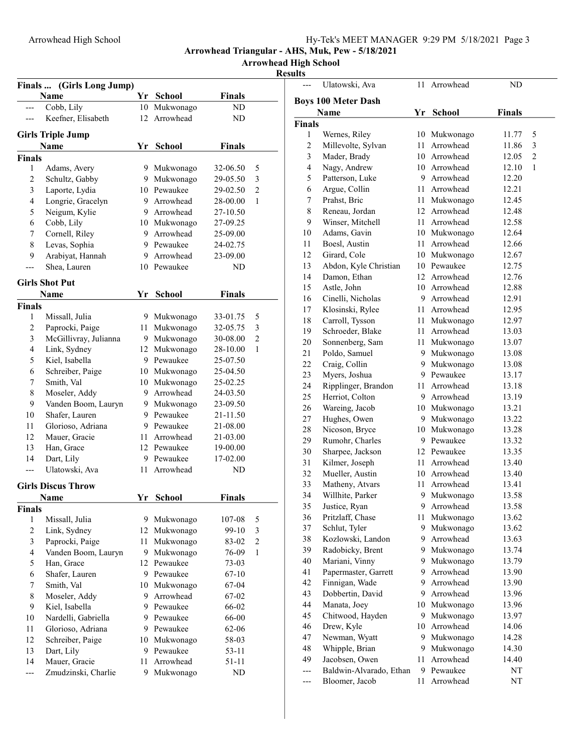Arrowhead High School

|                         | Finals  (Girls Long Jump)               |      |                            |               |                |
|-------------------------|-----------------------------------------|------|----------------------------|---------------|----------------|
|                         | Name                                    |      | Yr School                  | <b>Finals</b> |                |
|                         | Cobb, Lily                              | 10   | Mukwonago                  | ND            |                |
| ---                     | Keefner, Elisabeth                      | 12   | Arrowhead                  | ND            |                |
|                         |                                         |      |                            |               |                |
|                         | <b>Girls Triple Jump</b><br><b>Name</b> | Yr   | <b>School</b>              | <b>Finals</b> |                |
|                         |                                         |      |                            |               |                |
| <b>Finals</b>           |                                         |      |                            |               |                |
| 1                       | Adams, Avery                            |      | 9 Mukwonago                | 32-06.50      | 5              |
| 2                       | Schultz, Gabby                          |      | 9 Mukwonago<br>10 Pewaukee | 29-05.50      | 3              |
| 3                       | Laporte, Lydia                          |      |                            | 29-02.50      | $\overline{c}$ |
| $\overline{\mathbf{4}}$ | Longrie, Gracelyn                       |      | 9 Arrowhead                | 28-00.00      | $\mathbf{1}$   |
| 5                       | Neigum, Kylie                           |      | 9 Arrowhead                | 27-10.50      |                |
| 6                       | Cobb, Lily                              |      | 10 Mukwonago               | 27-09.25      |                |
| 7                       | Cornell, Riley                          |      | 9 Arrowhead                | 25-09.00      |                |
| 8                       | Levas, Sophia                           |      | 9 Pewaukee                 | 24-02.75      |                |
| 9                       | Arabiyat, Hannah                        |      | 9 Arrowhead                | 23-09.00      |                |
| ---                     | Shea, Lauren                            |      | 10 Pewaukee                | ND.           |                |
|                         | <b>Girls Shot Put</b>                   |      |                            |               |                |
|                         | Name                                    | Yr   | School                     | <b>Finals</b> |                |
| <b>Finals</b>           |                                         |      |                            |               |                |
| 1                       | Missall, Julia                          |      | 9 Mukwonago                | 33-01.75      | 5              |
| 2                       | Paprocki, Paige                         | 11 - | Mukwonago                  | 32-05.75      | 3              |
| 3                       | McGillivray, Julianna                   |      | 9 Mukwonago                | 30-08.00      | $\overline{c}$ |
| $\overline{4}$          | Link, Sydney                            |      | 12 Mukwonago               | 28-10.00      | $\mathbf{1}$   |
| 5                       | Kiel, Isabella                          |      | 9 Pewaukee                 | 25-07.50      |                |
| 6                       | Schreiber, Paige                        |      | 10 Mukwonago               | 25-04.50      |                |
| 7                       | Smith, Val                              |      | 10 Mukwonago               | 25-02.25      |                |
| 8                       | Moseler, Addy                           |      | 9 Arrowhead                | 24-03.50      |                |
| 9                       | Vanden Boom, Lauryn                     |      | 9 Mukwonago                | 23-09.50      |                |
| 10                      | Shafer, Lauren                          |      | 9 Pewaukee                 | 21-11.50      |                |
| 11                      | Glorioso, Adriana                       |      | 9 Pewaukee                 | 21-08.00      |                |
| 12                      | Mauer, Gracie                           |      | 11 Arrowhead               | 21-03.00      |                |
| 13                      | Han, Grace                              |      | 12 Pewaukee                | 19-00.00      |                |
| 14                      | Dart, Lily                              |      | 9 Pewaukee                 | 17-02.00      |                |
| ---                     | Ulatowski, Ava                          | 11   | Arrowhead                  | ND            |                |
|                         |                                         |      |                            |               |                |
|                         | <b>Girls Discus Throw</b>               |      |                            |               |                |
|                         | Name                                    | Yr   | <b>School</b>              | Finals        |                |
| <b>Finals</b>           |                                         |      |                            |               |                |
| 1                       | Missall, Julia                          |      | 9 Mukwonago                | 107-08        | 5              |
| $\overline{c}$          | Link, Sydney                            |      | 12 Mukwonago               | 99-10         | 3              |
| $\mathfrak{Z}$          | Paprocki, Paige                         | 11   | Mukwonago                  | 83-02         | $\overline{c}$ |
| $\overline{4}$          | Vanden Boom, Lauryn                     |      | 9 Mukwonago                | 76-09         | $\mathbf{1}$   |
| 5                       | Han, Grace                              |      | 12 Pewaukee                | 73-03         |                |
| 6                       | Shafer, Lauren                          |      | 9 Pewaukee                 | $67 - 10$     |                |
| 7                       | Smith, Val                              |      | 10 Mukwonago               | $67-04$       |                |
| 8                       | Moseler, Addy                           |      | 9 Arrowhead                | 67-02         |                |
| 9                       | Kiel, Isabella                          |      | 9 Pewaukee                 | 66-02         |                |
| 10                      | Nardelli, Gabriella                     |      | 9 Pewaukee                 | 66-00         |                |
| 11                      | Glorioso, Adriana                       |      | 9 Pewaukee                 | 62-06         |                |
| 12                      | Schreiber, Paige                        |      | 10 Mukwonago               | 58-03         |                |
| 13                      | Dart, Lily                              |      | 9 Pewaukee                 | $53 - 11$     |                |
| 14                      | Mauer, Gracie                           |      | 11 Arrowhead               | $51 - 11$     |                |
| ---                     | Zmudzinski, Charlie                     | 9.   | Mukwonago                  | ND            |                |

|                | Ulatowski, Ava             | 11   | Arrowhead     | ND            |                |
|----------------|----------------------------|------|---------------|---------------|----------------|
|                | <b>Boys 100 Meter Dash</b> |      |               |               |                |
|                | Name                       | Yr   | <b>School</b> | <b>Finals</b> |                |
| Finals         |                            |      |               |               |                |
| 1              | Wernes, Riley              |      | 10 Mukwonago  | 11.77         | 5              |
| $\overline{c}$ | Millevolte, Sylvan         | 11 - | Arrowhead     | 11.86         | 3              |
| 3              | Mader, Brady               |      | 10 Arrowhead  | 12.05         | $\overline{c}$ |
| 4              | Nagy, Andrew               |      | 10 Arrowhead  | 12.10         | 1              |
| 5              | Patterson, Luke            |      | 9 Arrowhead   | 12.20         |                |
| 6              | Argue, Collin              |      | 11 Arrowhead  | 12.21         |                |
| 7              | Prahst, Bric               | 11   | Mukwonago     | 12.45         |                |
| 8              | Reneau, Jordan             | 12   | Arrowhead     | 12.48         |                |
| 9              | Winser, Mitchell           | 11 - | Arrowhead     | 12.58         |                |
| 10             | Adams, Gavin               |      | 10 Mukwonago  | 12.64         |                |
| 11             | Boesl, Austin              | 11   | Arrowhead     | 12.66         |                |
| 12             | Girard, Cole               |      | 10 Mukwonago  | 12.67         |                |
| 13             | Abdon, Kyle Christian      |      | 10 Pewaukee   | 12.75         |                |
| 14             | Damon, Ethan               |      | 12 Arrowhead  | 12.76         |                |
| 15             | Astle, John                |      | 10 Arrowhead  | 12.88         |                |
| 16             | Cinelli, Nicholas          |      | 9 Arrowhead   | 12.91         |                |
| 17             | Klosinski, Rylee           |      | 11 Arrowhead  | 12.95         |                |
| 18             | Carroll, Tysson            |      | 11 Mukwonago  | 12.97         |                |
| 19             | Schroeder, Blake           | 11   | Arrowhead     | 13.03         |                |
| 20             | Sonnenberg, Sam            | 11   | Mukwonago     | 13.07         |                |
| 21             | Poldo, Samuel              |      | 9 Mukwonago   | 13.08         |                |
| 22             | Craig, Collin              |      | 9 Mukwonago   | 13.08         |                |
| 23             | Myers, Joshua              |      | 9 Pewaukee    | 13.17         |                |
| 24             | Ripplinger, Brandon        | 11   | Arrowhead     | 13.18         |                |
| 25             | Herriot, Colton            |      | 9 Arrowhead   | 13.19         |                |
| 26             | Wareing, Jacob             |      | 10 Mukwonago  | 13.21         |                |
| $27\,$         | Hughes, Owen               |      | 9 Mukwonago   | 13.22         |                |
| 28             | Nicoson, Bryce             | 10   | Mukwonago     | 13.28         |                |
| 29             | Rumohr, Charles            |      | 9 Pewaukee    | 13.32         |                |
| 30             | Sharpee, Jackson           |      | 12 Pewaukee   | 13.35         |                |
| 31             | Kilmer, Joseph             | 11 - | Arrowhead     | 13.40         |                |
| 32             | Mueller, Austin            |      | 10 Arrowhead  | 13.40         |                |
| 33             | Matheny, Atvars            | 11-  | Arrowhead     | 13.41         |                |
| 34             | Willhite, Parker           |      | 9 Mukwonago   | 13.58         |                |
| 35             | Justice, Ryan              | 9    | Arrowhead     | 13.58         |                |
| 36             | Pritzlaff, Chase           | 11   | Mukwonago     | 13.62         |                |
| 37             | Schlut, Tyler              | 9    | Mukwonago     | 13.62         |                |
| 38             | Kozlowski, Landon          | 9    | Arrowhead     | 13.63         |                |
| 39             | Radobicky, Brent           |      | 9 Mukwonago   | 13.74         |                |
| 40             | Mariani, Vinny             | 9.   | Mukwonago     | 13.79         |                |
| 41             | Papermaster, Garrett       | 9.   | Arrowhead     | 13.90         |                |
| 42             | Finnigan, Wade             | 9.   | Arrowhead     | 13.90         |                |
| 43             | Dobbertin, David           | 9.   | Arrowhead     | 13.96         |                |
| 44             | Manata, Joey               | 10   | Mukwonago     | 13.96         |                |
| 45             | Chitwood, Hayden           | 9.   | Mukwonago     | 13.97         |                |
| 46             | Drew, Kyle                 | 10   | Arrowhead     | 14.06         |                |
| 47             | Newman, Wyatt              | 9.   | Mukwonago     | 14.28         |                |
| 48             | Whipple, Brian             |      | 9 Mukwonago   | 14.30         |                |
| 49             | Jacobsen, Owen             | 11   | Arrowhead     | 14.40         |                |
| ---            | Baldwin-Alvarado, Ethan    |      | 9 Pewaukee    | NT            |                |
| ---            | Bloomer, Jacob             | 11   | Arrowhead     | NT            |                |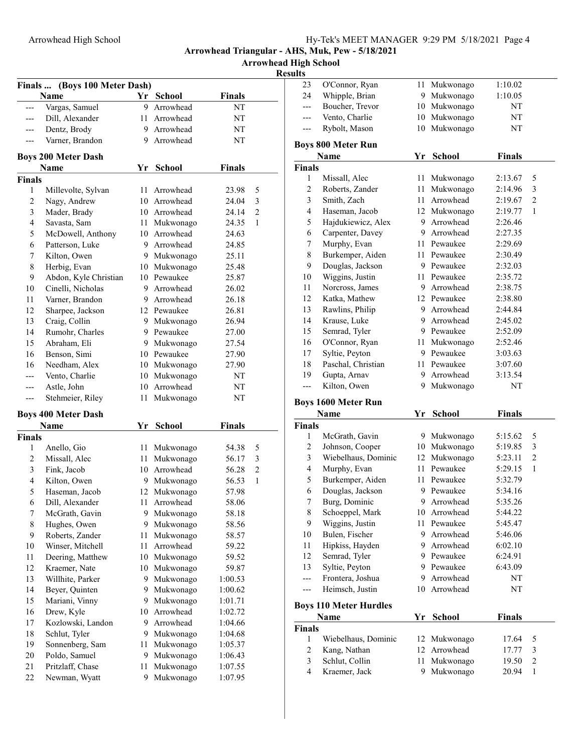Arrowhead High School

| Finals         | (Boys 100 Meter Dash)              |    |               |               |                |
|----------------|------------------------------------|----|---------------|---------------|----------------|
|                | <b>Name</b>                        |    | Yr School     | <b>Finals</b> |                |
| ---            | Vargas, Samuel                     | 9  | Arrowhead     | NΤ            |                |
| ---            | Dill, Alexander                    | 11 | Arrowhead     | NT            |                |
| ---            | Dentz, Brody                       |    | 9 Arrowhead   | NT            |                |
| ---            | Varner, Brandon                    |    | 9 Arrowhead   | NT            |                |
|                |                                    |    |               |               |                |
|                | <b>Boys 200 Meter Dash</b><br>Name |    |               |               |                |
| <b>Finals</b>  |                                    | Yr | <b>School</b> | Finals        |                |
| 1              | Millevolte, Sylvan                 |    | 11 Arrowhead  | 23.98         | 5              |
| $\sqrt{2}$     | Nagy, Andrew                       |    | 10 Arrowhead  | 24.04         | 3              |
| 3              | Mader, Brady                       |    | 10 Arrowhead  | 24.14         | 2              |
| 4              | Savasta, Sam                       |    | 11 Mukwonago  | 24.35         | 1              |
| 5              | McDowell, Anthony                  |    | 10 Arrowhead  | 24.63         |                |
| 6              | Patterson, Luke                    |    | 9 Arrowhead   | 24.85         |                |
| 7              | Kilton, Owen                       |    | 9 Mukwonago   | 25.11         |                |
| 8              | Herbig, Evan                       |    | 10 Mukwonago  | 25.48         |                |
| 9              | Abdon, Kyle Christian              |    | 10 Pewaukee   | 25.87         |                |
| 10             | Cinelli, Nicholas                  |    | 9 Arrowhead   | 26.02         |                |
| 11             | Varner, Brandon                    |    | 9 Arrowhead   | 26.18         |                |
| 12             | Sharpee, Jackson                   |    | 12 Pewaukee   | 26.81         |                |
| 13             | Craig, Collin                      |    | 9 Mukwonago   | 26.94         |                |
| 14             | Rumohr, Charles                    |    | 9 Pewaukee    | 27.00         |                |
| 15             | Abraham, Eli                       |    | 9 Mukwonago   | 27.54         |                |
| 16             | Benson, Simi                       |    | 10 Pewaukee   | 27.90         |                |
| 16             | Needham, Alex                      |    | 10 Mukwonago  | 27.90         |                |
|                | Vento, Charlie                     |    | 10 Mukwonago  | NT            |                |
| ---            | Astle, John                        |    | 10 Arrowhead  | NT            |                |
| ---            | Stehmeier, Riley                   | 11 | Mukwonago     | NT            |                |
|                | <b>Boys 400 Meter Dash</b>         |    |               |               |                |
|                | Name                               | Yr | <b>School</b> | Finals        |                |
| <b>Finals</b>  |                                    |    |               |               |                |
| 1              | Anello, Gio                        | 11 | Mukwonago     | 54.38         | 5              |
| $\overline{c}$ | Missall, Alec                      |    | 11 Mukwonago  | 56.17         | 3              |
| 3              | Fink, Jacob                        |    | 10 Arrowhead  | 56.28         | $\overline{c}$ |
| $\overline{4}$ | Kilton, Owen                       |    | 9 Mukwonago   | 56.53         | 1              |
| 5              | Haseman, Jacob                     |    | 12 Mukwonago  | 57.98         |                |
| 6              | Dill, Alexander                    |    | 11 Arrowhead  | 58.06         |                |
| 7              | McGrath, Gavin                     | 9  | Mukwonago     | 58.18         |                |
| 8              | Hughes, Owen                       | 9  | Mukwonago     | 58.56         |                |
| 9              | Roberts, Zander                    | 11 | Mukwonago     | 58.57         |                |
| 10             | Winser, Mitchell                   | 11 | Arrowhead     | 59.22         |                |
| 11             | Deering, Matthew                   | 10 | Mukwonago     | 59.52         |                |
| 12             | Kraemer, Nate                      | 10 | Mukwonago     | 59.87         |                |
| 13             | Willhite, Parker                   | 9  | Mukwonago     | 1:00.53       |                |
| 14             | Beyer, Quinten                     | 9  | Mukwonago     | 1:00.62       |                |
| 15             | Mariani, Vinny                     | 9. | Mukwonago     | 1:01.71       |                |
| 16             | Drew, Kyle                         | 10 | Arrowhead     | 1:02.72       |                |
| 17             | Kozlowski, Landon                  | 9. | Arrowhead     | 1:04.66       |                |
| 18             | Schlut, Tyler                      | 9  | Mukwonago     | 1:04.68       |                |
| 19             | Sonnenberg, Sam                    | 11 | Mukwonago     | 1:05.37       |                |
| 20             | Poldo, Samuel                      | 9  | Mukwonago     | 1:06.43       |                |
| 21             | Pritzlaff, Chase                   | 11 | Mukwonago     | 1:07.55       |                |
| 22             | Newman, Wyatt                      | 9  | Mukwonago     | 1:07.95       |                |

| 23                           | O'Connor, Ryan                  | 11      | Mukwonago              | 1:10.02        |                                |
|------------------------------|---------------------------------|---------|------------------------|----------------|--------------------------------|
| 24                           | Whipple, Brian                  | 9.      | Mukwonago              | 1:10.05        |                                |
| $---$                        | Boucher, Trevor                 | 10      | Mukwonago              | NT             |                                |
| ---                          | Vento, Charlie                  | 10      | Mukwonago              | NT             |                                |
| ---                          | Rybolt, Mason                   | 10      | Mukwonago              | NT             |                                |
|                              |                                 |         |                        |                |                                |
|                              | Boys 800 Meter Run<br>Name      | Yr      | <b>School</b>          | <b>Finals</b>  |                                |
| Finals                       |                                 |         |                        |                |                                |
| 1                            | Missall, Alec                   | 11      | Mukwonago              | 2:13.67        | 5                              |
| $\mathfrak{2}$               | Roberts, Zander                 | 11      | Mukwonago              | 2:14.96        | 3                              |
| $\mathfrak{Z}$               | Smith, Zach                     | 11      | Arrowhead              | 2:19.67        | $\overline{c}$                 |
| 4                            | Haseman, Jacob                  | 12      | Mukwonago              | 2:19.77        | 1                              |
| 5                            | Hajdukiewicz, Alex              | 9.      | Arrowhead              | 2:26.46        |                                |
| 6                            | Carpenter, Davey                | 9.      | Arrowhead              | 2:27.35        |                                |
| 7                            | Murphy, Evan                    |         | 11 Pewaukee            | 2:29.69        |                                |
| $\,$ $\,$                    | Burkemper, Aiden                |         | 11 Pewaukee            | 2:30.49        |                                |
| 9                            | Douglas, Jackson                |         | 9 Pewaukee             | 2:32.03        |                                |
| 10                           | Wiggins, Justin                 |         | 11 Pewaukee            | 2:35.72        |                                |
| 11                           | Norcross, James                 | 9.      | Arrowhead              | 2:38.75        |                                |
| 12                           | Katka, Mathew                   |         | 12 Pewaukee            | 2:38.80        |                                |
| 13                           | Rawlins, Philip                 | 9.      | Arrowhead              | 2:44.84        |                                |
| 14                           | Krause, Luke                    | 9.      | Arrowhead              | 2:45.02        |                                |
| 15                           | Semrad, Tyler                   |         | 9 Pewaukee             | 2:52.09        |                                |
| 16                           | O'Connor, Ryan                  | 11      | Mukwonago              | 2:52.46        |                                |
| 17                           | Syltie, Peyton                  |         | 9 Pewaukee             | 3:03.63        |                                |
| 18                           | Paschal, Christian              | 11      | Pewaukee               | 3:07.60        |                                |
| 19                           | Gupta, Arnav                    | 9       | Arrowhead              | 3:13.54        |                                |
|                              |                                 |         |                        |                |                                |
|                              |                                 |         |                        |                |                                |
| ---                          | Kilton, Owen                    | 9       | Mukwonago              | NT             |                                |
|                              | <b>Boys 1600 Meter Run</b>      |         |                        |                |                                |
|                              | Name                            | Yr      | <b>School</b>          | <b>Finals</b>  |                                |
|                              |                                 |         |                        |                |                                |
| 1                            | McGrath, Gavin                  |         | 9 Mukwonago            | 5:15.62        | 5                              |
| 2                            | Johnson, Cooper                 | 10      | Mukwonago              | 5:19.85        | 3                              |
| $\mathfrak{Z}$               | Wiebelhaus, Dominic             | 12      | Mukwonago              | 5:23.11        | $\mathfrak{2}$                 |
| 4                            | Murphy, Evan                    | 11      | Pewaukee               | 5:29.15        | $\mathbf{1}$                   |
| 5                            | Burkemper, Aiden                | 11      | Pewaukee               | 5:32.79        |                                |
| 6                            | Douglas, Jackson                |         | 9 Pewaukee             | 5:34.16        |                                |
| $\boldsymbol{7}$             | Burg, Dominic                   | 9       | Arrowhead              | 5:35.26        |                                |
| $\,$ $\,$                    | Schoeppel, Mark                 | 10      | Arrowhead              | 5:44.22        |                                |
| 9                            | Wiggins, Justin                 | 11      | Pewaukee               | 5:45.47        |                                |
| $10\,$                       | Bulen, Fischer                  | 9.      | Arrowhead              | 5:46.06        |                                |
| $11\,$                       | Hipkiss, Hayden                 | 9.      | Arrowhead              | 6:02.10        |                                |
| 12                           | Semrad, Tyler                   |         | 9 Pewaukee             | 6:24.91        |                                |
| 13                           | Syltie, Peyton                  | 9.      | Pewaukee               | 6:43.09        |                                |
| ---                          | Frontera, Joshua                | 9       | Arrowhead              | NT             |                                |
| ---                          | Heimsch, Justin                 | 10      | Arrowhead              | NT             |                                |
| Finals                       | <b>Boys 110 Meter Hurdles</b>   |         |                        |                |                                |
|                              | <b>Name</b>                     | Yr      | School                 | Finals         |                                |
| Finals                       |                                 |         |                        |                |                                |
| 1                            | Wiebelhaus, Dominic             | 12      | Mukwonago              | 17.64          | 5                              |
| $\overline{c}$               | Kang, Nathan                    | 12      | Arrowhead              | 17.77          | 3                              |
| 3<br>$\overline{\mathbf{4}}$ | Schlut, Collin<br>Kraemer, Jack | 11<br>9 | Mukwonago<br>Mukwonago | 19.50<br>20.94 | $\overline{c}$<br>$\mathbf{1}$ |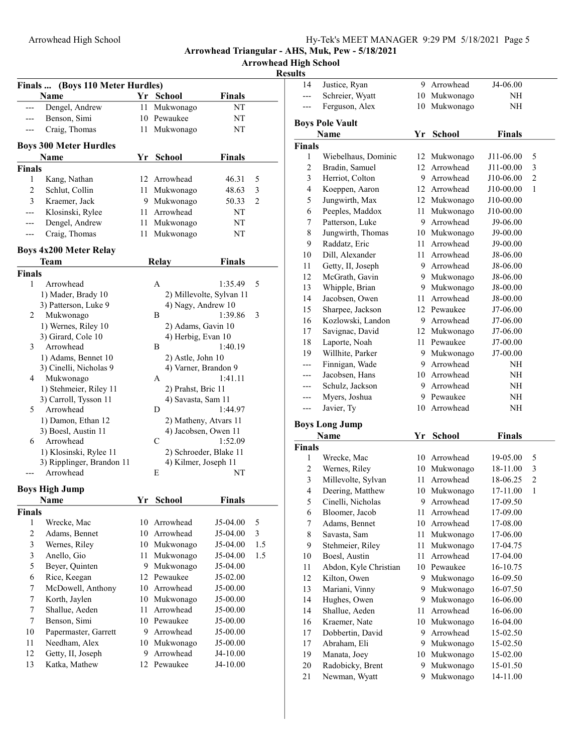Arrowhead High School

|               | Finals  (Boys 110 Meter Hurdles) |      |                         |                          |                |
|---------------|----------------------------------|------|-------------------------|--------------------------|----------------|
|               | Name                             |      | Yr School               | Finals                   |                |
|               | Dengel, Andrew                   | 11   | Mukwonago               | NT                       |                |
| ---           | Benson, Simi                     |      | 10 Pewaukee             | NΤ                       |                |
| ---           | Craig, Thomas                    | 11   | Mukwonago               | NΤ                       |                |
|               | <b>Boys 300 Meter Hurdles</b>    |      |                         |                          |                |
|               | Name                             | Yr   | <b>School</b>           | Finals                   |                |
| <b>Finals</b> |                                  |      |                         |                          |                |
| 1             | Kang, Nathan                     |      | 12 Arrowhead            | 46.31                    | 5              |
| 2             | Schlut, Collin                   |      | 11 Mukwonago            | 48.63                    | 3              |
| 3             | Kraemer, Jack                    |      | 9 Mukwonago             | 50.33                    | $\overline{2}$ |
|               | Klosinski, Rylee                 |      | 11 Arrowhead            | NΤ                       |                |
|               | Dengel, Andrew                   | 11 - | Mukwonago               | NT                       |                |
| ---           | Craig, Thomas                    | 11   | Mukwonago               | NT                       |                |
|               | <b>Boys 4x200 Meter Relay</b>    |      |                         |                          |                |
|               | Team                             |      | <b>Relay</b>            | Finals                   |                |
| <b>Finals</b> |                                  |      |                         |                          |                |
| 1             | Arrowhead                        |      | A                       | 1:35.49                  | 5              |
|               | 1) Mader, Brady 10               |      |                         | 2) Millevolte, Sylvan 11 |                |
|               | 3) Patterson, Luke 9             |      | 4) Nagy, Andrew 10      |                          |                |
| 2             | Mukwonago                        |      | B                       | 1:39.86                  | 3              |
|               | 1) Wernes, Riley 10              |      | 2) Adams, Gavin 10      |                          |                |
| 3             | 3) Girard, Cole 10<br>Arrowhead  |      | 4) Herbig, Evan 10<br>B | 1:40.19                  |                |
|               | 1) Adams, Bennet 10              |      | 2) Astle, John 10       |                          |                |
|               | 3) Cinelli, Nicholas 9           |      | 4) Varner, Brandon 9    |                          |                |
| 4             | Mukwonago                        |      | А                       | 1:41.11                  |                |
|               | 1) Stehmeier, Riley 11           |      | 2) Prahst, Bric 11      |                          |                |
|               | 3) Carroll, Tysson 11            |      | 4) Savasta, Sam 11      |                          |                |
| 5             | Arrowhead                        |      | D                       | 1:44.97                  |                |
|               | 1) Damon, Ethan 12               |      |                         | 2) Matheny, Atvars 11    |                |
|               | 3) Boesl, Austin 11              |      | 4) Jacobsen, Owen 11    |                          |                |
| 6             | Arrowhead                        |      | C                       | 1:52.09                  |                |
|               | 1) Klosinski, Rylee 11           |      |                         | 2) Schroeder, Blake 11   |                |
|               | 3) Ripplinger, Brandon 11        |      | 4) Kilmer, Joseph 11    |                          |                |
|               | Arrowhead                        |      | E                       | NT                       |                |
|               | <b>Boys High Jump</b>            |      |                         |                          |                |
|               | Name                             |      | Yr School               | Finals                   |                |
| <b>Finals</b> |                                  |      |                         |                          |                |
| 1             | Wrecke, Mac                      | 10   | Arrowhead               | J5-04.00                 | 5              |
| 2             | Adams, Bennet                    | 10   | Arrowhead               | J5-04.00                 | 3              |
| 3             | Wernes, Riley                    | 10   | Mukwonago               | J5-04.00                 | 1.5            |
| 3             | Anello, Gio                      | 11   | Mukwonago               | J5-04.00                 | 1.5            |
| 5             | Beyer, Quinten                   | 9    | Mukwonago               | J5-04.00                 |                |
| 6             | Rice, Keegan                     |      | 12 Pewaukee             | J5-02.00                 |                |
| 7             | McDowell, Anthony                |      | 10 Arrowhead            | J5-00.00                 |                |
| 7             | Korth, Jaylen                    | 10   | Mukwonago               | J5-00.00                 |                |
| 7             | Shallue, Aeden                   | 11   | Arrowhead               | J5-00.00                 |                |
| 7             | Benson, Simi                     |      | 10 Pewaukee             | J5-00.00                 |                |
| 10            | Papermaster, Garrett             | 9.   | Arrowhead               | J5-00.00                 |                |
| 11            | Needham, Alex                    | 10   | Mukwonago               | J5-00.00                 |                |
| 12            | Getty, II, Joseph                | 9    | Arrowhead               | $J4-10.00$               |                |
| 13            | Katka, Mathew                    | 12   | Pewaukee                | J4-10.00                 |                |
|               |                                  |      |                         |                          |                |

| 14                                        | Justice, Ryan                         |         | 9 Arrowhead            | J4-06.00             |                                |
|-------------------------------------------|---------------------------------------|---------|------------------------|----------------------|--------------------------------|
| ---                                       | Schreier, Wyatt                       |         | 10 Mukwonago           | <b>NH</b>            |                                |
|                                           | Ferguson, Alex                        | 10      | Mukwonago              | NΗ                   |                                |
|                                           | <b>Boys Pole Vault</b>                |         |                        |                      |                                |
|                                           | Name                                  | Yr      | <b>School</b>          | <b>Finals</b>        |                                |
| <b>Finals</b>                             |                                       |         |                        |                      |                                |
| 1                                         | Wiebelhaus, Dominic                   | 12      | Mukwonago              | J11-06.00            | 5                              |
| $\mathfrak{2}$                            | Bradin, Samuel                        | 12      | Arrowhead              | J11-00.00            | 3                              |
| 3                                         | Herriot, Colton                       | 9.      | Arrowhead              | J10-06.00            | $\overline{c}$                 |
| $\overline{4}$                            | Koeppen, Aaron                        |         | 12 Arrowhead           | J10-00.00            | 1                              |
| 5                                         | Jungwirth, Max                        |         | 12 Mukwonago           | J10-00.00            |                                |
| 6                                         | Peeples, Maddox                       |         | 11 Mukwonago           | J10-00.00            |                                |
| 7                                         | Patterson, Luke                       |         | 9 Arrowhead            | J9-06.00             |                                |
| 8                                         | Jungwirth, Thomas                     |         | 10 Mukwonago           | J9-00.00             |                                |
| 9                                         | Raddatz, Eric                         |         | 11 Arrowhead           | J9-00.00             |                                |
| 10                                        | Dill, Alexander                       |         | 11 Arrowhead           | J8-06.00             |                                |
| 11                                        | Getty, II, Joseph                     |         | 9 Arrowhead            | J8-06.00             |                                |
| 12                                        | McGrath, Gavin                        |         | 9 Mukwonago            | J8-06.00             |                                |
| 13                                        | Whipple, Brian                        | 9       | Mukwonago              | J8-00.00             |                                |
| 14                                        | Jacobsen, Owen                        | 11      | Arrowhead              | J8-00.00             |                                |
| 15                                        | Sharpee, Jackson                      |         | 12 Pewaukee            | J7-06.00             |                                |
| 16                                        | Kozlowski, Landon                     |         | 9 Arrowhead            | J7-06.00             |                                |
| 17                                        | Savignac, David                       | 12      | Mukwonago              | J7-06.00             |                                |
| 18                                        | Laporte, Noah                         |         | 11 Pewaukee            | J7-00.00             |                                |
| 19                                        | Willhite, Parker                      |         | 9 Mukwonago            | J7-00.00             |                                |
| ---                                       | Finnigan, Wade                        |         | 9 Arrowhead            | NΗ                   |                                |
| ---                                       | Jacobsen, Hans                        |         | 10 Arrowhead           | NH                   |                                |
| ---                                       | Schulz, Jackson                       |         | 9 Arrowhead            | NH                   |                                |
| ---                                       | Myers, Joshua                         |         | 9 Pewaukee             | NH                   |                                |
| ---                                       | Javier, Ty                            | 10      | Arrowhead              | NH                   |                                |
|                                           |                                       |         |                        |                      |                                |
|                                           | <b>Boys Long Jump</b>                 |         |                        |                      |                                |
|                                           | Name                                  | Yr      | School                 | <b>Finals</b>        |                                |
| <b>Finals</b>                             |                                       |         | 10 Arrowhead           | 19-05.00             |                                |
| 1                                         | Wrecke, Mac                           |         |                        |                      | 5                              |
| $\overline{c}$                            | Wernes, Riley                         |         | 10 Mukwonago           | 18-11.00             | 3                              |
| $\mathfrak{Z}$<br>$\overline{\mathbf{4}}$ | Millevolte, Sylvan                    | 11      | Arrowhead              | 18-06.25             | $\overline{c}$<br>$\mathbf{1}$ |
| 5                                         | Deering, Matthew                      | 10<br>9 | Mukwonago<br>Arrowhead | 17-11.00             |                                |
| 6                                         | Cinelli, Nicholas<br>Bloomer, Jacob   | 11      | Arrowhead              | 17-09.50<br>17-09.00 |                                |
|                                           | Adams, Bennet                         |         | 10 Arrowhead           |                      |                                |
| 7<br>$\,$ $\,$                            | Savasta, Sam                          | 11      | Mukwonago              | 17-08.00<br>17-06.00 |                                |
| 9                                         | Stehmeier, Riley                      | $11\,$  | Mukwonago              | 17-04.75             |                                |
| 10                                        | Boesl, Austin                         | 11      | Arrowhead              | 17-04.00             |                                |
| 11                                        |                                       |         | 10 Pewaukee            |                      |                                |
| 12                                        | Abdon, Kyle Christian<br>Kilton, Owen | 9       |                        | 16-10.75<br>16-09.50 |                                |
|                                           | Mariani, Vinny                        | 9       | Mukwonago              |                      |                                |
| 13<br>14                                  | Hughes, Owen                          | 9       | Mukwonago<br>Mukwonago | 16-07.50<br>16-06.00 |                                |
| 14                                        | Shallue, Aeden                        | 11      | Arrowhead              | 16-06.00             |                                |
| 16                                        | Kraemer, Nate                         | 10      | Mukwonago              | 16-04.00             |                                |
| 17                                        | Dobbertin, David                      | 9.      | Arrowhead              | 15-02.50             |                                |
| 17                                        | Abraham, Eli                          |         | 9 Mukwonago            | 15-02.50             |                                |
| 19                                        | Manata, Joey                          | 10      | Mukwonago              | 15-02.00             |                                |
| 20                                        | Radobicky, Brent                      | 9       | Mukwonago              | 15-01.50             |                                |
| 21                                        | Newman, Wyatt                         | 9       | Mukwonago              | 14-11.00             |                                |
|                                           |                                       |         |                        |                      |                                |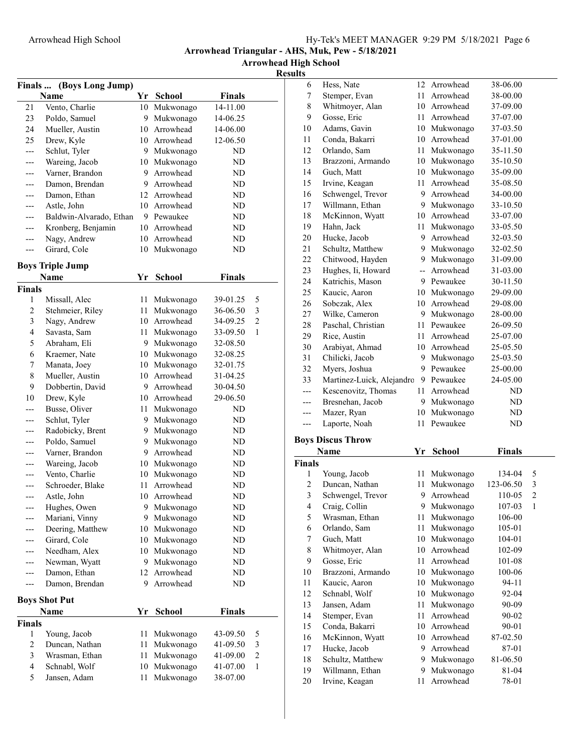Arrowhead High School

Resul

| (Boys Long Jump)<br>Finals |                                 |        |                              |                      |                |
|----------------------------|---------------------------------|--------|------------------------------|----------------------|----------------|
|                            | Name                            |        | Yr School                    | <b>Finals</b>        |                |
| 21                         | Vento, Charlie                  | 10     | Mukwonago                    | 14-11.00             |                |
| 23                         | Poldo, Samuel                   | 9      | Mukwonago                    | 14-06.25             |                |
| 24                         | Mueller, Austin                 |        | 10 Arrowhead                 | 14-06.00             |                |
| 25                         | Drew, Kyle                      |        | 10 Arrowhead                 | 12-06.50             |                |
| $---$                      | Schlut, Tyler                   |        | 9 Mukwonago                  | ND                   |                |
|                            | Wareing, Jacob                  |        | 10 Mukwonago                 | ND                   |                |
| ---                        | Varner, Brandon                 |        | 9 Arrowhead                  | ND                   |                |
| ---                        | Damon, Brendan                  |        | 9 Arrowhead                  | ND                   |                |
| ---                        | Damon, Ethan                    |        | 12 Arrowhead                 | ND                   |                |
|                            | Astle, John                     |        | 10 Arrowhead                 | ND                   |                |
| ---                        | Baldwin-Alvarado, Ethan         |        | 9 Pewaukee                   | ND                   |                |
| ---                        | Kronberg, Benjamin              |        | 10 Arrowhead                 | ND                   |                |
| ---                        | Nagy, Andrew                    |        | 10 Arrowhead                 | ND                   |                |
| ---                        | Girard, Cole                    | 10     | Mukwonago                    | ND                   |                |
|                            |                                 |        |                              |                      |                |
|                            | <b>Boys Triple Jump</b>         |        |                              |                      |                |
|                            | <b>Name</b>                     | Yr     | <b>School</b>                | <b>Finals</b>        |                |
| <b>Finals</b><br>1         | Missall, Alec                   |        | 11 Mukwonago                 | 39-01.25             | 5              |
| 2                          | Stehmeier, Riley                | 11     | Mukwonago                    | 36-06.50             | 3              |
| 3                          | Nagy, Andrew                    |        | 10 Arrowhead                 | 34-09.25             | $\overline{2}$ |
| 4                          | Savasta, Sam                    |        | 11 Mukwonago                 | 33-09.50             | 1              |
| 5                          | Abraham, Eli                    |        | 9 Mukwonago                  |                      |                |
|                            | Kraemer, Nate                   |        | 10 Mukwonago                 | 32-08.50             |                |
| 6                          |                                 |        |                              | 32-08.25             |                |
| 7                          | Manata, Joey<br>Mueller, Austin |        | 10 Mukwonago<br>10 Arrowhead | 32-01.75<br>31-04.25 |                |
| 8<br>9                     |                                 |        | 9 Arrowhead                  |                      |                |
|                            | Dobbertin, David                |        |                              | 30-04.50             |                |
| 10                         | Drew, Kyle                      |        | 10 Arrowhead                 | 29-06.50             |                |
|                            | Busse, Oliver                   | 11     | Mukwonago                    | ND                   |                |
|                            | Schlut, Tyler                   |        | 9 Mukwonago                  | ND                   |                |
|                            | Radobicky, Brent                |        | 9 Mukwonago                  | ND                   |                |
|                            | Poldo, Samuel                   |        | 9 Mukwonago<br>9 Arrowhead   | ND                   |                |
|                            | Varner, Brandon                 |        |                              | ND                   |                |
| ---                        | Wareing, Jacob                  |        | 10 Mukwonago                 | ND                   |                |
|                            | Vento, Charlie                  |        | 10 Mukwonago<br>Arrowhead    | ND                   |                |
|                            | Schroeder, Blake                | 11     | 10 Arrowhead                 | ND                   |                |
| ---                        | Astle, John                     |        |                              | ND                   |                |
| ---                        | Hughes, Owen<br>Mariani, Vinny  | 9<br>9 | Mukwonago<br>Mukwonago       | ND<br>ND             |                |
|                            | Deering, Matthew                | 10     |                              | ND                   |                |
|                            | Girard, Cole                    | 10     | Mukwonago                    | ND                   |                |
|                            | Needham, Alex                   | 10     | Mukwonago<br>Mukwonago       | ND                   |                |
|                            | Newman, Wyatt                   | 9      | Mukwonago                    | ND                   |                |
|                            | Damon, Ethan                    | 12     | Arrowhead                    | ND                   |                |
| ---                        |                                 | 9.     | Arrowhead                    | ND                   |                |
|                            | Damon, Brendan                  |        |                              |                      |                |
|                            | <b>Boys Shot Put</b>            |        |                              |                      |                |
|                            | Name                            | Yr     | <b>School</b>                | <b>Finals</b>        |                |
| <b>Finals</b>              |                                 |        |                              |                      |                |
| 1                          | Young, Jacob                    | 11     | Mukwonago                    | 43-09.50             | 5              |
| 2                          | Duncan, Nathan                  | 11     | Mukwonago                    | 41-09.50             | 3              |
| 3                          | Wrasman, Ethan                  | 11     | Mukwonago                    | 41-09.00             | $\overline{c}$ |
| $\overline{4}$             | Schnabl, Wolf                   | 10     | Mukwonago                    | 41-07.00             | 1              |
| 5                          | Jansen, Adam                    | 11     | Mukwonago                    | 38-07.00             |                |

| sults          |                                   |         |                           |                |                |
|----------------|-----------------------------------|---------|---------------------------|----------------|----------------|
| 6              | Hess, Nate                        |         | 12 Arrowhead              | 38-06.00       |                |
| 7              | Stemper, Evan                     | 11 -    | Arrowhead                 | 38-00.00       |                |
| 8              | Whitmoyer, Alan                   |         | 10 Arrowhead              | 37-09.00       |                |
| 9              | Gosse, Eric                       | 11 -    | Arrowhead                 | 37-07.00       |                |
| 10             | Adams, Gavin                      |         | 10 Mukwonago              | 37-03.50       |                |
| 11             | Conda, Bakarri                    |         | 10 Arrowhead              | 37-01.00       |                |
| 12             | Orlando, Sam                      | 11      | Mukwonago                 | 35-11.50       |                |
| 13             | Brazzoni, Armando                 |         | 10 Mukwonago              | 35-10.50       |                |
| 14             | Guch, Matt                        |         | 10 Mukwonago              | 35-09.00       |                |
| 15             | Irvine, Keagan                    | 11.     | Arrowhead                 | 35-08.50       |                |
| 16             | Schwengel, Trevor                 |         | 9 Arrowhead               | 34-00.00       |                |
| 17             | Willmann, Ethan                   |         | 9 Mukwonago               | 33-10.50       |                |
| 18             | McKinnon, Wyatt                   | 10      | Arrowhead                 | 33-07.00       |                |
| 19             | Hahn, Jack                        | 11 -    | Mukwonago                 | 33-05.50       |                |
| 20             | Hucke, Jacob                      | 9.      | Arrowhead                 | 32-03.50       |                |
| 21             | Schultz, Matthew                  |         | 9 Mukwonago               | 32-02.50       |                |
| 22             | Chitwood, Hayden                  |         | 9 Mukwonago               | 31-09.00       |                |
| 23             | Hughes, Ii, Howard                | $-$     | Arrowhead                 | 31-03.00       |                |
| 24             | Katrichis, Mason                  |         | 9 Pewaukee                | 30-11.50       |                |
| 25             | Kaucic, Aaron                     |         | 10 Mukwonago              | 29-09.00       |                |
| 26             | Sobczak, Alex                     |         | 10 Arrowhead              | 29-08.00       |                |
| 27             | Wilke, Cameron                    |         | 9 Mukwonago               | 28-00.00       |                |
| 28             | Paschal, Christian                |         | 11 Pewaukee               | 26-09.50       |                |
| 29             | Rice, Austin                      |         | 11 Arrowhead              | 25-07.00       |                |
| 30             | Arabiyat, Ahmad                   |         | 10 Arrowhead              | 25-05.50       |                |
| 31             | Chilicki, Jacob                   | 9.      | Mukwonago                 | 25-03.50       |                |
| 32             | Myers, Joshua                     | 9       | Pewaukee                  | 25-00.00       |                |
| 33             | Martinez-Luick, Alejandro         |         | 9 Pewaukee                | 24-05.00       |                |
| $---$          | Kescenovitz, Thomas               | 11 -    | Arrowhead                 | ND             |                |
| ---            | Bresnehan, Jacob                  |         | 9 Mukwonago               | ND             |                |
| $---$          | Mazer, Ryan                       |         | 10 Mukwonago              | ND             |                |
| ---            | Laporte, Noah                     | 11      | Pewaukee                  | ND             |                |
|                |                                   |         |                           |                |                |
|                | <b>Boys Discus Throw</b>          |         |                           |                |                |
|                | <b>Name</b>                       | Yr      | <b>School</b>             | <b>Finals</b>  |                |
| <b>Finals</b>  |                                   |         |                           |                |                |
| 1              | Young, Jacob                      | 11      | Mukwonago                 | 134-04         | 5              |
| 2              | Duncan, Nathan                    | 11      | Mukwonago                 | 123-06.50      | 3              |
| 3              | Schwengel, Trevor                 |         | 9 Arrowhead               | 110-05         | $\overline{c}$ |
| $\overline{4}$ | Craig, Collin                     | 9.      | Mukwonago                 | 107-03         | 1              |
| 5              | Wrasman, Ethan                    | 11 -    | Mukwonago                 | 106-00         |                |
| 6              | Orlando, Sam                      | 11      | Mukwonago                 | 105-01         |                |
| 7              | Guch, Matt                        | 10      | Mukwonago                 | 104-01         |                |
| 8              | Whitmoyer, Alan                   | 10      | Arrowhead                 | 102-09         |                |
| 9              | Gosse, Eric                       | 11      | Arrowhead                 | 101-08         |                |
| 10             | Brazzoni, Armando                 |         | 10 Mukwonago              | 100-06         |                |
| 11             | Kaucic, Aaron                     | 10      | Mukwonago                 | 94-11          |                |
| 12<br>13       | Schnabl, Wolf<br>Jansen, Adam     | 11      | 10 Mukwonago<br>Mukwonago | 92-04<br>90-09 |                |
|                | Stemper, Evan                     | 11      | Arrowhead                 |                |                |
|                |                                   |         |                           | 90-02          |                |
| 14             |                                   |         |                           |                |                |
| 15             | Conda, Bakarri                    | 10      | Arrowhead                 | 90-01          |                |
| 16             | McKinnon, Wyatt                   | 10      | Arrowhead                 | 87-02.50       |                |
| 17             | Hucke, Jacob                      | 9.      | Arrowhead                 | 87-01          |                |
| 18             | Schultz, Matthew                  | 9.      | Mukwonago                 | 81-06.50       |                |
| 19<br>20       | Willmann, Ethan<br>Irvine, Keagan | 9<br>11 | Mukwonago<br>Arrowhead    | 81-04<br>78-01 |                |